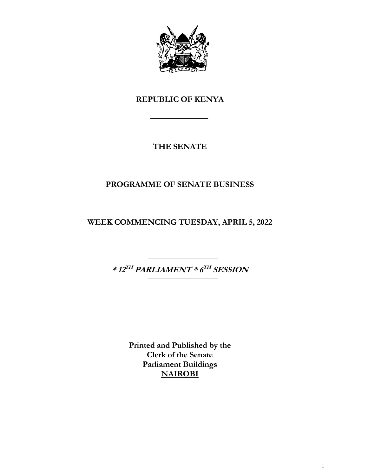

## **REPUBLIC OF KENYA**

## **THE SENATE**

## **PROGRAMME OF SENATE BUSINESS**

**WEEK COMMENCING TUESDAY, APRIL 5, 2022**

**\* 12 TH PARLIAMENT \* 6 TH SESSION**

**Printed and Published by the Clerk of the Senate Parliament Buildings NAIROBI**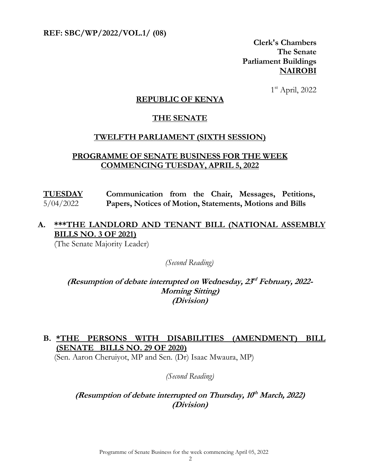**REF: SBC/WP/2022/VOL.1/ (08)** 

**Clerk's Chambers The Senate Parliament Buildings NAIROBI**

 1  $1<sup>st</sup>$  April, 2022

#### **REPUBLIC OF KENYA**

#### **THE SENATE**

#### **TWELFTH PARLIAMENT (SIXTH SESSION)**

#### **PROGRAMME OF SENATE BUSINESS FOR THE WEEK COMMENCING TUESDAY, APRIL 5, 2022**

**TUESDAY** 5/04/2022 **Communication from the Chair, Messages, Petitions, Papers, Notices of Motion, Statements, Motions and Bills**

### **A. \*\*\*THE LANDLORD AND TENANT BILL (NATIONAL ASSEMBLY BILLS NO. 3 OF 2021)**

(The Senate Majority Leader)

*(Second Reading)*

(Resumption of debate interrupted on Wednesday,  $23<sup>d</sup>$  February, 2022-**Morning Sitting) (Division)**

### **B. \*THE PERSONS WITH DISABILITIES (AMENDMENT) BILL (SENATE BILLS NO. 29 OF 2020)**

(Sen. Aaron Cheruiyot, MP and Sen. (Dr) Isaac Mwaura, MP)

#### *(Second Reading)*

#### **(Resumption of debate interrupted on Thursday, 10 th March, 2022) (Division)**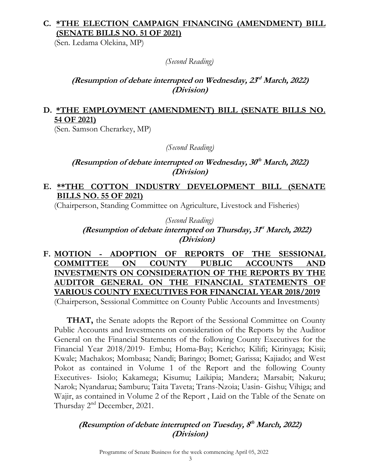## **C. \*THE ELECTION CAMPAIGN FINANCING (AMENDMENT) BILL (SENATE BILLS NO. 51 OF 2021)**

(Sen. Ledama Olekina, MP)

*(Second Reading)*

#### **(Resumption of debate interrupted on Wednesday, 23 rd March, 2022) (Division)**

#### **D. \*THE EMPLOYMENT (AMENDMENT) BILL (SENATE BILLS NO. 54 OF 2021)**

(Sen. Samson Cherarkey, MP)

*(Second Reading)*

#### **(Resumption of debate interrupted on Wednesday, 30 th March, 2022) (Division)**

#### **E. \*\*THE COTTON INDUSTRY DEVELOPMENT BILL (SENATE BILLS NO. 55 OF 2021)**

(Chairperson, Standing Committee on Agriculture, Livestock and Fisheries)

### *(Second Reading)* (Resumption of debate interrupted on Thursday, 3f<sup>t</sup> March, 2022) **(Division)**

**F. MOTION - ADOPTION OF REPORTS OF THE SESSIONAL COMMITTEE ON COUNTY PUBLIC ACCOUNTS AND INVESTMENTS ON CONSIDERATION OF THE REPORTS BY THE AUDITOR GENERAL ON THE FINANCIAL STATEMENTS OF VARIOUS COUNTY EXECUTIVES FOR FINANCIAL YEAR 2018/2019** (Chairperson, Sessional Committee on County Public Accounts and Investments)

**THAT,** the Senate adopts the Report of the Sessional Committee on County Public Accounts and Investments on consideration of the Reports by the Auditor General on the Financial Statements of the following County Executives for the Financial Year 2018/2019- Embu; Homa-Bay; Kericho; Kilifi; Kirinyaga; Kisii; Kwale; Machakos; Mombasa; Nandi; Baringo; Bomet; Garissa; Kajiado; and West Pokot as contained in Volume 1 of the Report and the following County Executives- Isiolo; Kakamega; Kisumu; Laikipia; Mandera; Marsabit; Nakuru; Narok; Nyandarua; Samburu; Taita Taveta; Trans-Nzoia; Uasin- Gishu; Vihiga; and Wajir, as contained in Volume 2 of the Report , Laid on the Table of the Senate on Thursday 2<sup>nd</sup> December, 2021.

## **(Resumption of debate interrupted on Tuesday, 8 th March, 2022) (Division)**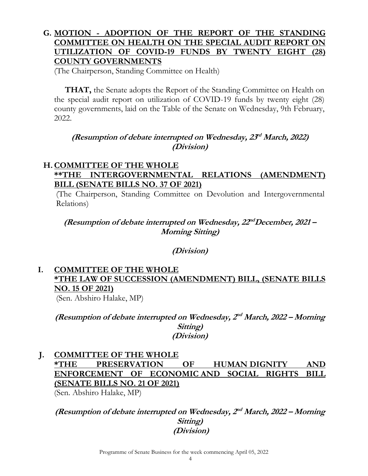### **G. MOTION - ADOPTION OF THE REPORT OF THE STANDING COMMITTEE ON HEALTH ON THE SPECIAL AUDIT REPORT ON UTILIZATION OF COVID-19 FUNDS BY TWENTY EIGHT (28) COUNTY GOVERNMENTS**

(The Chairperson, Standing Committee on Health)

**THAT,** the Senate adopts the Report of the Standing Committee on Health on the special audit report on utilization of COVID-19 funds by twenty eight (28) county governments, laid on the Table of the Senate on Wednesday, 9th February, 2022.

### **(Resumption of debate interrupted on Wednesday, 23 rd March, 2022) (Division)**

#### **H.COMMITTEE OF THE WHOLE \*\*THE INTERGOVERNMENTAL RELATIONS (AMENDMENT) BILL (SENATE BILLS NO. 37 OF 2021)**

(The Chairperson, Standing Committee on Devolution and Intergovernmental Relations)

### (Resumption of debate interrupted on Wednesday,  $22^{nd}$ December, 2021 – **Morning Sitting)**

**(Division)**

### **I. COMMITTEE OF THE WHOLE \*THE LAW OF SUCCESSION (AMENDMENT) BILL, (SENATE BILLS NO. 15 OF 2021)**

(Sen. Abshiro Halake, MP)

(Resumption of debate interrupted on Wednesday,  $2^{nd}$  March, 2022 – Morning **Sitting) (Division)**

**J. COMMITTEE OF THE WHOLE \*THE PRESERVATION OF HUMAN DIGNITY AND ENFORCEMENT OF ECONOMIC AND SOCIAL RIGHTS BILL (SENATE BILLS NO. 21 OF 2021)** 

(Sen. Abshiro Halake, MP)

#### (Resumption of debate interrupted on Wednesday,  $2^{nd}$  March, 2022 – Morning **Sitting) (Division)**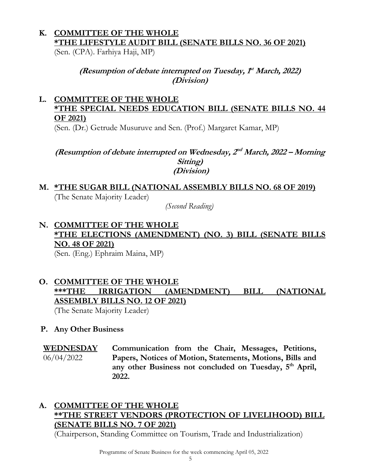## **K. COMMITTEE OF THE WHOLE \*THE LIFESTYLE AUDIT BILL (SENATE BILLS NO. 36 OF 2021)**

(Sen. (CPA). Farhiya Haji, MP)

### (Resumption of debate interrupted on Tuesday,  $f<sup>t</sup>$  March, 2022) **(Division)**

## **L. COMMITTEE OF THE WHOLE \*THE SPECIAL NEEDS EDUCATION BILL (SENATE BILLS NO. 44 OF 2021)**

(Sen. (Dr.) Getrude Musuruve and Sen. (Prof.) Margaret Kamar, MP)

#### (Resumption of debate interrupted on Wednesday,  $2^{nd}$  March, 2022 – Morning **Sitting) (Division)**

## **M. \*THE SUGAR BILL (NATIONAL ASSEMBLY BILLS NO. 68 OF 2019)** (The Senate Majority Leader)

*(Second Reading)*

# **N. COMMITTEE OF THE WHOLE \*THE ELECTIONS (AMENDMENT) (NO. 3) BILL (SENATE BILLS NO. 48 OF 2021)**

(Sen. (Eng.) Ephraim Maina, MP)

## **O. COMMITTEE OF THE WHOLE \*\*\*THE IRRIGATION (AMENDMENT) BILL (NATIONAL ASSEMBLY BILLS NO. 12 OF 2021)**

(The Senate Majority Leader)

### **P. Any Other Business**

**WEDNESDAY**  06/04/2022 **Communication from the Chair, Messages, Petitions, Papers, Notices of Motion, Statements, Motions, Bills and**  any other Business not concluded on Tuesday, 5<sup>th</sup> April, **2022.** 

### **A. COMMITTEE OF THE WHOLE \*\*THE STREET VENDORS (PROTECTION OF LIVELIHOOD) BILL (SENATE BILLS NO. 7 OF 2021)**

(Chairperson, Standing Committee on Tourism, Trade and Industrialization)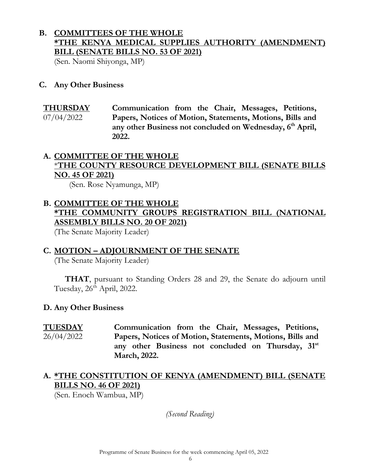### **B. COMMITTEES OF THE WHOLE \*THE KENYA MEDICAL SUPPLIES AUTHORITY (AMENDMENT) BILL (SENATE BILLS NO. 53 OF 2021)**

(Sen. Naomi Shiyonga, MP)

#### **C. Any Other Business**

**THURSDAY**  07/04/2022 **Communication from the Chair, Messages, Petitions, Papers, Notices of Motion, Statements, Motions, Bills and any other Business not concluded on Wednesday, 6 th April, 2022.**

#### **A. COMMITTEE OF THE WHOLE** \***THE COUNTY RESOURCE DEVELOPMENT BILL (SENATE BILLS NO. 45 OF 2021)**

(Sen. Rose Nyamunga, MP)

## **B. COMMITTEE OF THE WHOLE \*THE COMMUNITY GROUPS REGISTRATION BILL (NATIONAL ASSEMBLY BILLS NO. 20 OF 2021)**

(The Senate Majority Leader)

#### **C. MOTION – ADJOURNMENT OF THE SENATE**

(The Senate Majority Leader)

**THAT**, pursuant to Standing Orders 28 and 29, the Senate do adjourn until Tuesday,  $26^{th}$  April, 2022.

#### **D. Any Other Business**

**TUESDAY**  26/04/2022

**Communication from the Chair, Messages, Petitions, Papers, Notices of Motion, Statements, Motions, Bills and any other Business not concluded on Thursday, 31st March, 2022.** 

### **A. \*THE CONSTITUTION OF KENYA (AMENDMENT) BILL (SENATE BILLS NO. 46 OF 2021)**

(Sen. Enoch Wambua, MP)

*(Second Reading)*